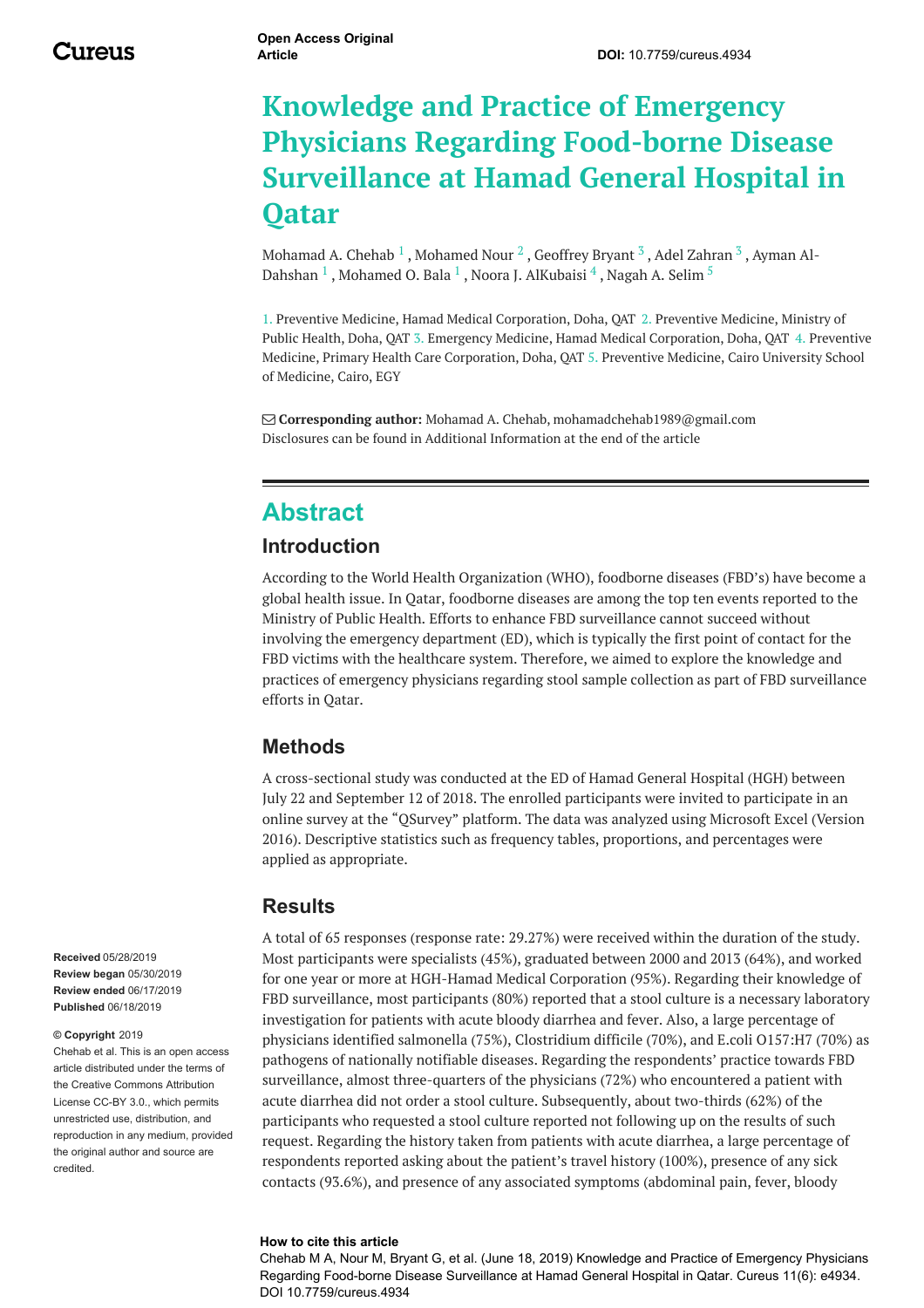# **Knowledge and Practice of Emergency Physicians Regarding Food-borne Disease Surveillance at Hamad General Hospital in Qatar**

[Mohamad](https://www.cureus.com/users/100268-ayman-al-dahshan) A. Chehab  $^1$  , [Mohamed](https://www.cureus.com/users/105027-mohamed-nour) Nour  $^2$  , [Geoffrey](https://www.cureus.com/users/123988-geoffrey-bryant) Bryant  $^3$  , Adel [Zahran](https://www.cureus.com/users/123985-adel-zahran)  $^3$  , Ayman Al-Dahshan  $^1$  , [Mohamed](https://www.cureus.com/users/54136-mohamed-o-bala) O. Bala  $^1$  , Noora J. [AlKubaisi](https://www.cureus.com/users/123987-noora-j-alkubaisi)  $^4$  , [Nagah](https://www.cureus.com/users/55348-nagah-a-selim) A. Selim  $^5$ 

1. Preventive Medicine, Hamad Medical Corporation, Doha, QAT 2. Preventive Medicine, Ministry of Public Health, Doha, QAT 3. Emergency Medicine, Hamad Medical Corporation, Doha, QAT 4. Preventive Medicine, Primary Health Care Corporation, Doha, QAT 5. Preventive Medicine, Cairo University School of Medicine, Cairo, EGY

 **Corresponding author:** Mohamad A. Chehab, mohamadchehab1989@gmail.com Disclosures can be found in Additional Information at the end of the article

### **Abstract**

#### **Introduction**

According to the World Health Organization (WHO), foodborne diseases (FBD's) have become a global health issue. In Qatar, foodborne diseases are among the top ten events reported to the Ministry of Public Health. Efforts to enhance FBD surveillance cannot succeed without involving the emergency department (ED), which is typically the first point of contact for the FBD victims with the healthcare system. Therefore, we aimed to explore the knowledge and practices of emergency physicians regarding stool sample collection as part of FBD surveillance efforts in Qatar.

#### **Methods**

A cross-sectional study was conducted at the ED of Hamad General Hospital (HGH) between July 22 and September 12 of 2018. The enrolled participants were invited to participate in an online survey at the "QSurvey" platform. The data was analyzed using Microsoft Excel (Version 2016). Descriptive statistics such as frequency tables, proportions, and percentages were applied as appropriate.

#### **Results**

A total of 65 responses (response rate: 29.27%) were received within the duration of the study. Most participants were specialists (45%), graduated between 2000 and 2013 (64%), and worked for one year or more at HGH-Hamad Medical Corporation (95%). Regarding their knowledge of FBD surveillance, most participants (80%) reported that a stool culture is a necessary laboratory investigation for patients with acute bloody diarrhea and fever. Also, a large percentage of physicians identified salmonella (75%), Clostridium difficile (70%), and E.coli O157:H7 (70%) as pathogens of nationally notifiable diseases. Regarding the respondents' practice towards FBD surveillance, almost three-quarters of the physicians (72%) who encountered a patient with acute diarrhea did not order a stool culture. Subsequently, about two-thirds (62%) of the participants who requested a stool culture reported not following up on the results of such request. Regarding the history taken from patients with acute diarrhea, a large percentage of respondents reported asking about the patient's travel history (100%), presence of any sick contacts (93.6%), and presence of any associated symptoms (abdominal pain, fever, bloody

#### **How to cite this article**

Chehab M A, Nour M, Bryant G, et al. (June 18, 2019) Knowledge and Practice of Emergency Physicians Regarding Food-borne Disease Surveillance at Hamad General Hospital in Qatar. Cureus 11(6): e4934. DOI 10.7759/cureus.4934

**Received** 05/28/2019 **Review began** 05/30/2019 **Review ended** 06/17/2019 **Published** 06/18/2019

#### **© Copyright** 2019

Chehab et al. This is an open access article distributed under the terms of the Creative Commons Attribution License CC-BY 3.0., which permits unrestricted use, distribution, and reproduction in any medium, provided the original author and source are credited.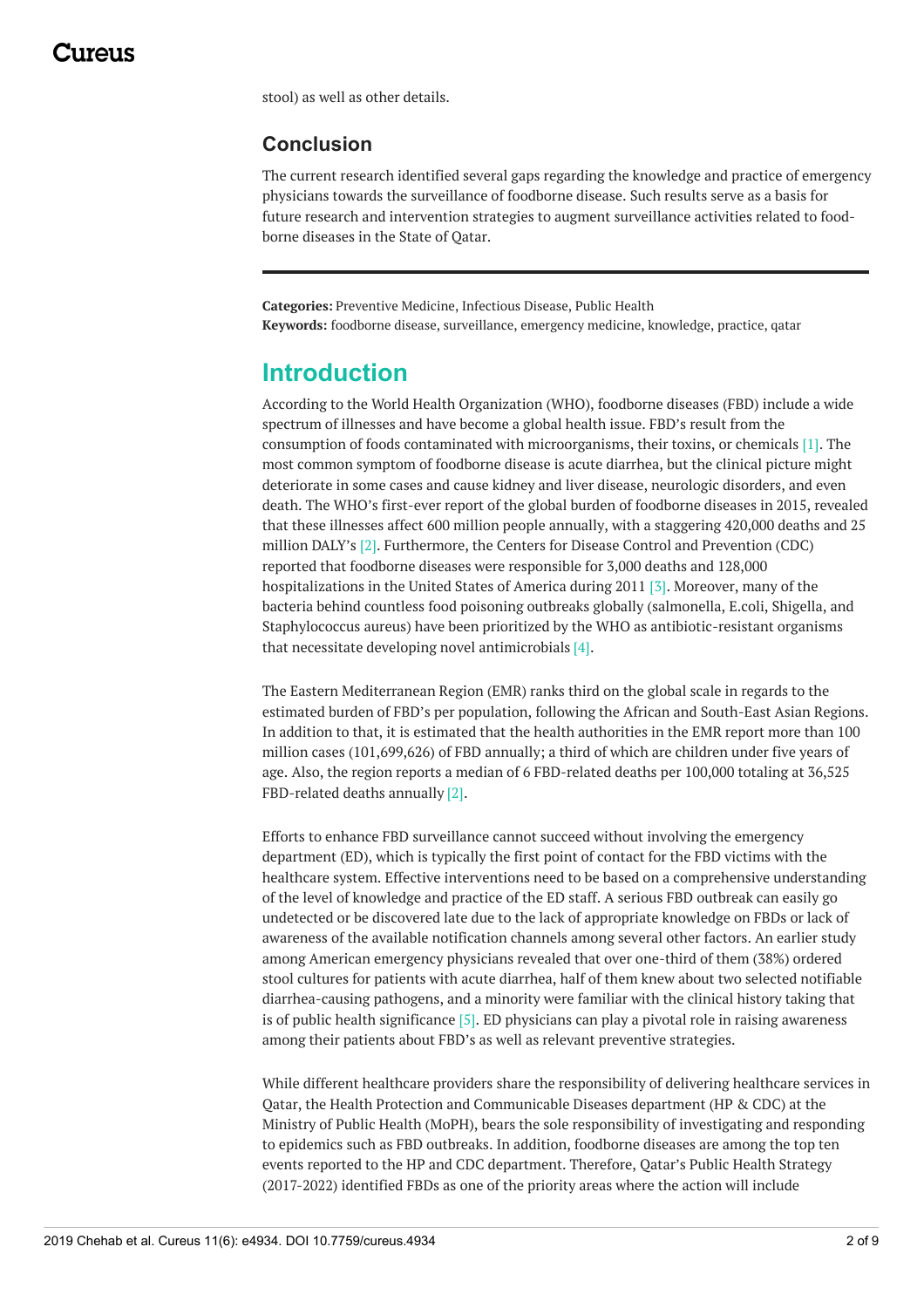stool) as well as other details.

#### **Conclusion**

The current research identified several gaps regarding the knowledge and practice of emergency physicians towards the surveillance of foodborne disease. Such results serve as a basis for future research and intervention strategies to augment surveillance activities related to foodborne diseases in the State of Qatar.

**Categories:** Preventive Medicine, Infectious Disease, Public Health **Keywords:** foodborne disease, surveillance, emergency medicine, knowledge, practice, qatar

## **Introduction**

According to the World Health Organization (WHO), foodborne diseases (FBD) include a wide spectrum of illnesses and have become a global health issue. FBD's result from the consumption of foods contaminated with microorganisms, their toxins, or chemicals [1]. The most common symptom of foodborne disease is acute diarrhea, but the clinical picture might deteriorate in some cases and cause kidney and liver disease, neurologic disorders, and even death. The WHO's first-ever report of the global burden of foodborne diseases in 2015, revealed that these illnesses affect 600 million people annually, with a staggering 420,000 deaths and 25 million DALY's [2]. Furthermore, the Centers for Disease Control and Prevention (CDC) reported that foodborne diseases were responsible for 3,000 deaths and 128,000 hospitalizations in the United States of America during 2011 [3]. Moreover, many of the bacteria behind countless food poisoning outbreaks globally (salmonella, E.coli, Shigella, and Staphylococcus aureus) have been prioritized by the WHO as antibiotic-resistant organisms that necessitate developing novel antimicrobials [4].

The Eastern Mediterranean Region (EMR) ranks third on the global scale in regards to the estimated burden of FBD's per population, following the African and South-East Asian Regions. In addition to that, it is estimated that the health authorities in the EMR report more than 100 million cases (101,699,626) of FBD annually; a third of which are children under five years of age. Also, the region reports a median of 6 FBD-related deaths per 100,000 totaling at 36,525 FBD-related deaths annually [2].

Efforts to enhance FBD surveillance cannot succeed without involving the emergency department (ED), which is typically the first point of contact for the FBD victims with the healthcare system. Effective interventions need to be based on a comprehensive understanding of the level of knowledge and practice of the ED staff. A serious FBD outbreak can easily go undetected or be discovered late due to the lack of appropriate knowledge on FBDs or lack of awareness of the available notification channels among several other factors. An earlier study among American emergency physicians revealed that over one-third of them (38%) ordered stool cultures for patients with acute diarrhea, half of them knew about two selected notifiable diarrhea-causing pathogens, and a minority were familiar with the clinical history taking that is of public health significance  $[5]$ . ED physicians can play a pivotal role in raising awareness among their patients about FBD's as well as relevant preventive strategies.

While different healthcare providers share the responsibility of delivering healthcare services in Qatar, the Health Protection and Communicable Diseases department (HP & CDC) at the Ministry of Public Health (MoPH), bears the sole responsibility of investigating and responding to epidemics such as FBD outbreaks. In addition, foodborne diseases are among the top ten events reported to the HP and CDC department. Therefore, Qatar's Public Health Strategy (2017-2022) identified FBDs as one of the priority areas where the action will include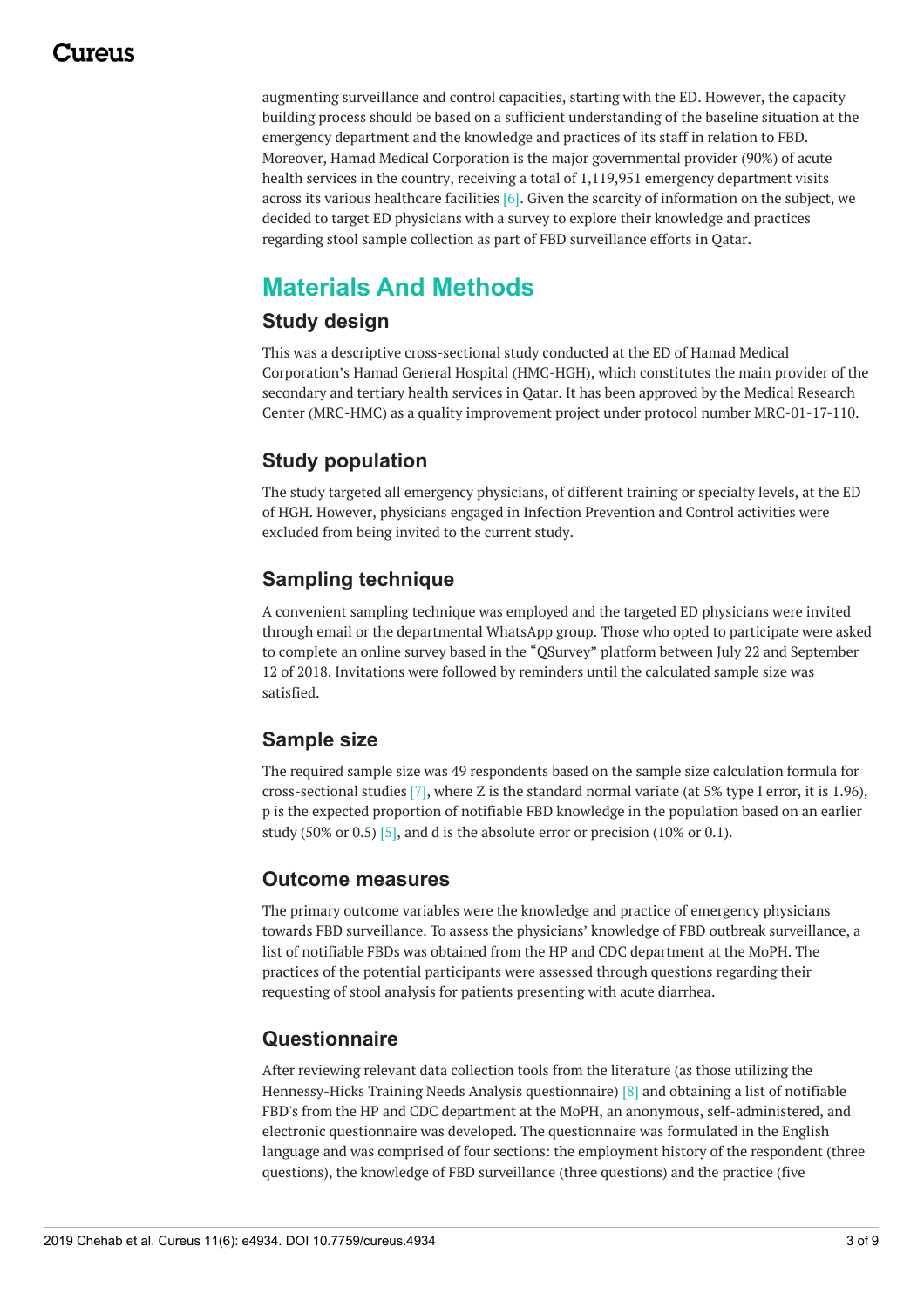### 1174110

augmenting surveillance and control capacities, starting with the ED. However, the capacity building process should be based on a sufficient understanding of the baseline situation at the emergency department and the knowledge and practices of its staff in relation to FBD. Moreover, Hamad Medical Corporation is the major governmental provider (90%) of acute health services in the country, receiving a total of 1,119,951 emergency department visits across its various healthcare facilities [6]. Given the scarcity of information on the subject, we decided to target ED physicians with a survey to explore their knowledge and practices regarding stool sample collection as part of FBD surveillance efforts in Qatar.

# **Materials And Methods**

#### **Study design**

This was a descriptive cross-sectional study conducted at the ED of Hamad Medical Corporation's Hamad General Hospital (HMC-HGH), which constitutes the main provider of the secondary and tertiary health services in Qatar. It has been approved by the Medical Research Center (MRC-HMC) as a quality improvement project under protocol number MRC-01-17-110.

### **Study population**

The study targeted all emergency physicians, of different training or specialty levels, at the ED of HGH. However, physicians engaged in Infection Prevention and Control activities were excluded from being invited to the current study.

### **Sampling technique**

A convenient sampling technique was employed and the targeted ED physicians were invited through email or the departmental WhatsApp group. Those who opted to participate were asked to complete an online survey based in the "QSurvey" platform between July 22 and September 12 of 2018. Invitations were followed by reminders until the calculated sample size was satisfied.

#### **Sample size**

The required sample size was 49 respondents based on the sample size calculation formula for cross-sectional studies [7], where Z is the standard normal variate (at 5% type I error, it is 1.96), p is the expected proportion of notifiable FBD knowledge in the population based on an earlier study (50% or 0.5) [5], and d is the absolute error or precision (10% or 0.1).

#### **Outcome measures**

The primary outcome variables were the knowledge and practice of emergency physicians towards FBD surveillance. To assess the physicians' knowledge of FBD outbreak surveillance, a list of notifiable FBDs was obtained from the HP and CDC department at the MoPH. The practices of the potential participants were assessed through questions regarding their requesting of stool analysis for patients presenting with acute diarrhea.

#### **Questionnaire**

After reviewing relevant data collection tools from the literature (as those utilizing the Hennessy-Hicks Training Needs Analysis questionnaire) [8] and obtaining a list of notifiable FBD's from the HP and CDC department at the MoPH, an anonymous, self-administered, and electronic questionnaire was developed. The questionnaire was formulated in the English language and was comprised of four sections: the employment history of the respondent (three questions), the knowledge of FBD surveillance (three questions) and the practice (five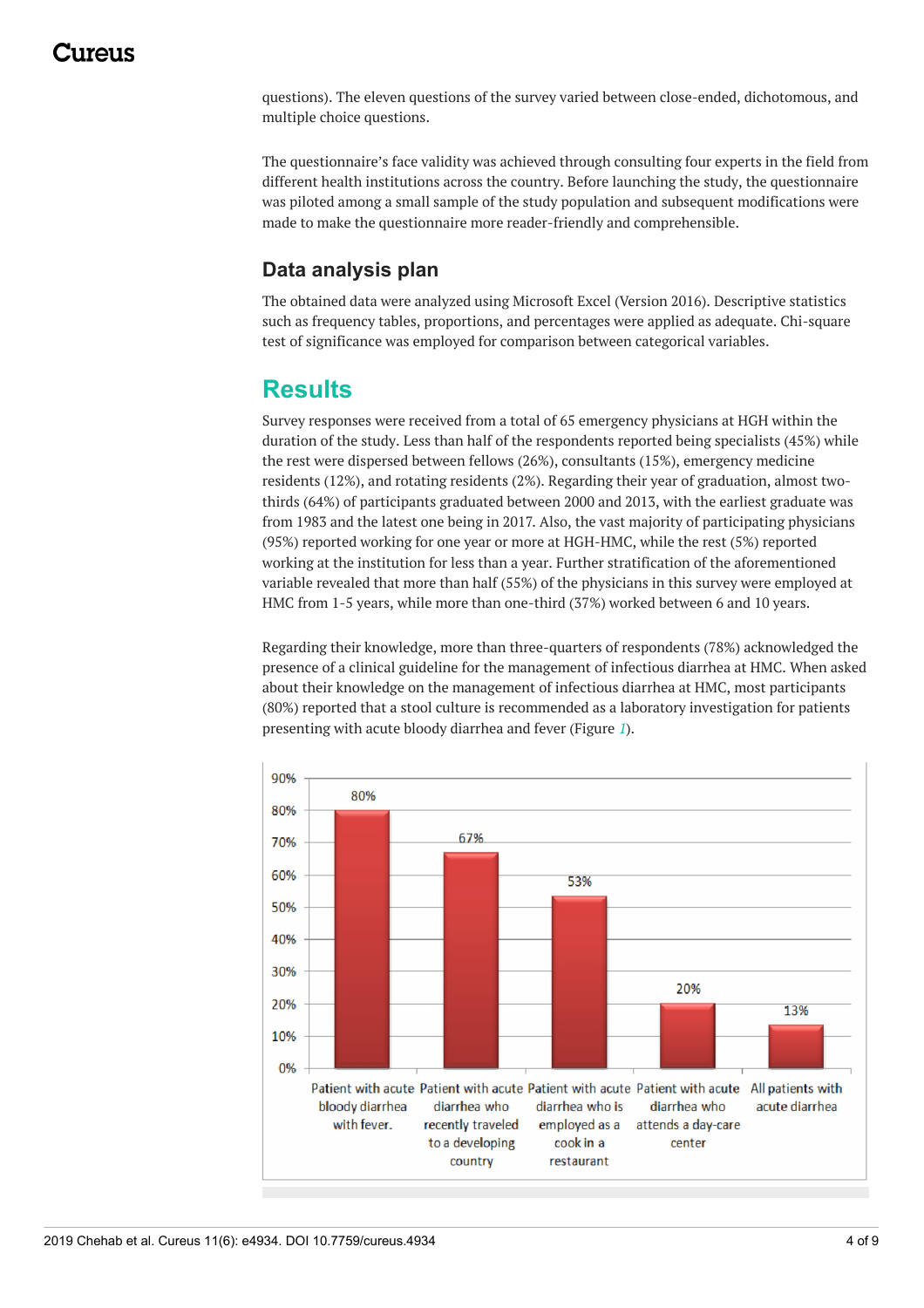### 1174110

questions). The eleven questions of the survey varied between close-ended, dichotomous, and multiple choice questions.

The questionnaire's face validity was achieved through consulting four experts in the field from different health institutions across the country. Before launching the study, the questionnaire was piloted among a small sample of the study population and subsequent modifications were made to make the questionnaire more reader-friendly and comprehensible.

#### **Data analysis plan**

The obtained data were analyzed using Microsoft Excel (Version 2016). Descriptive statistics such as frequency tables, proportions, and percentages were applied as adequate. Chi-square test of significance was employed for comparison between categorical variables.

### **Results**

Survey responses were received from a total of 65 emergency physicians at HGH within the duration of the study. Less than half of the respondents reported being specialists (45%) while the rest were dispersed between fellows (26%), consultants (15%), emergency medicine residents (12%), and rotating residents (2%). Regarding their year of graduation, almost twothirds (64%) of participants graduated between 2000 and 2013, with the earliest graduate was from 1983 and the latest one being in 2017. Also, the vast majority of participating physicians (95%) reported working for one year or more at HGH-HMC, while the rest (5%) reported working at the institution for less than a year. Further stratification of the aforementioned variable revealed that more than half (55%) of the physicians in this survey were employed at HMC from 1-5 years, while more than one-third (37%) worked between 6 and 10 years.

Regarding their knowledge, more than three-quarters of respondents (78%) acknowledged the presence of a clinical guideline for the management of infectious diarrhea at HMC. When asked about their knowledge on the management of infectious diarrhea at HMC, most participants (80%) reported that a stool culture is recommended as a laboratory investigation for patients presenting with acute bloody diarrhea and fever (Figure *[1](#page-3-0)*).

<span id="page-3-0"></span>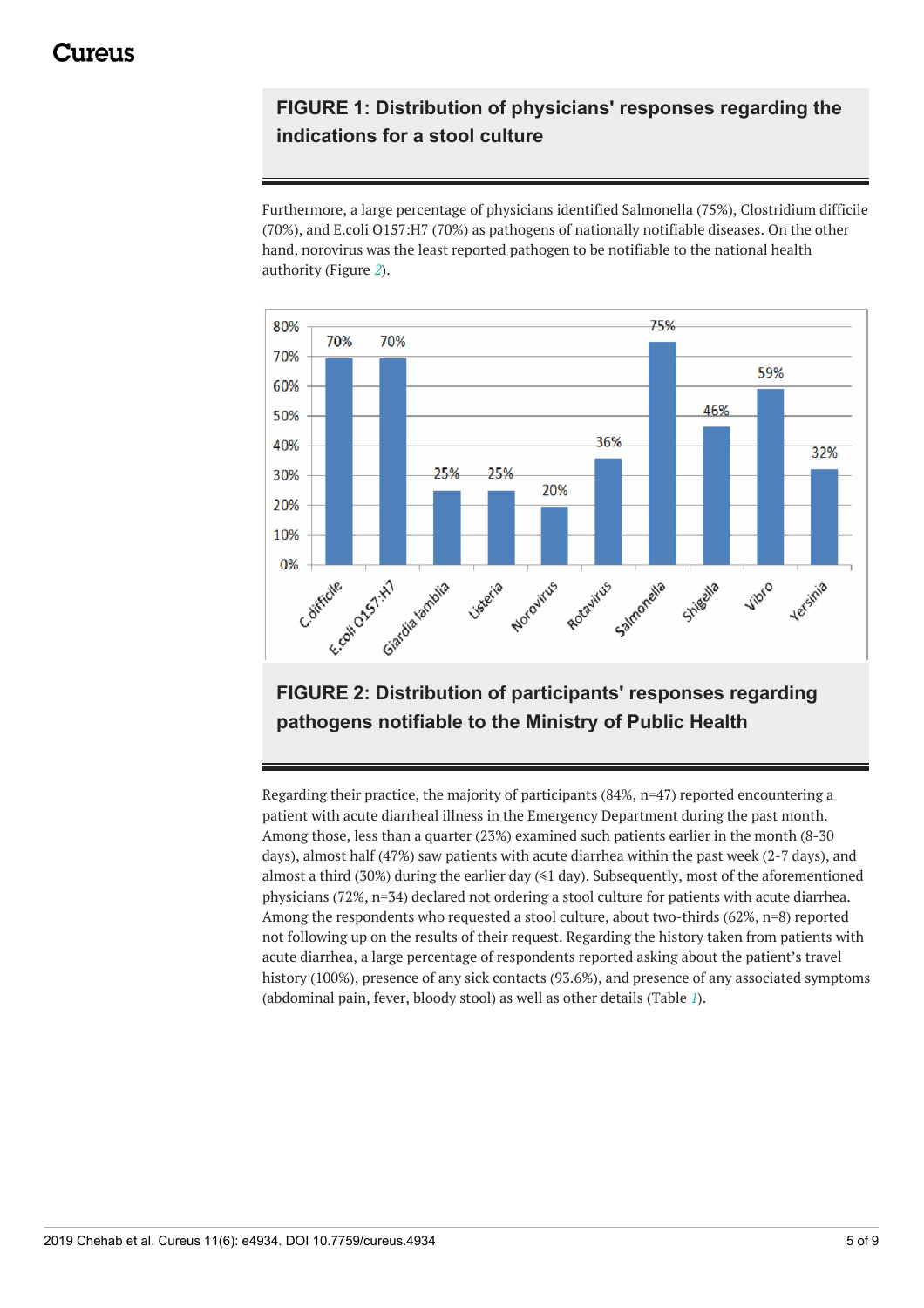### **FIGURE 1: Distribution of physicians' responses regarding the indications for a stool culture**

Furthermore, a large percentage of physicians identified Salmonella (75%), Clostridium difficile (70%), and E.coli O157:H7 (70%) as pathogens of nationally notifiable diseases. On the other hand, norovirus was the least reported pathogen to be notifiable to the national health authority (Figure *[2](#page-4-0)*).

<span id="page-4-0"></span>

### **FIGURE 2: Distribution of participants' responses regarding pathogens notifiable to the Ministry of Public Health**

Regarding their practice, the majority of participants (84%, n=47) reported encountering a patient with acute diarrheal illness in the Emergency Department during the past month. Among those, less than a quarter (23%) examined such patients earlier in the month (8-30 days), almost half (47%) saw patients with acute diarrhea within the past week (2-7 days), and almost a third (30%) during the earlier day  $(1)$  day). Subsequently, most of the aforementioned physicians (72%, n=34) declared not ordering a stool culture for patients with acute diarrhea. Among the respondents who requested a stool culture, about two-thirds (62%, n=8) reported not following up on the results of their request. Regarding the history taken from patients with acute diarrhea, a large percentage of respondents reported asking about the patient's travel history (100%), presence of any sick contacts (93.6%), and presence of any associated symptoms (abdominal pain, fever, bloody stool) as well as other details (Table *[1](#page-5-0)*).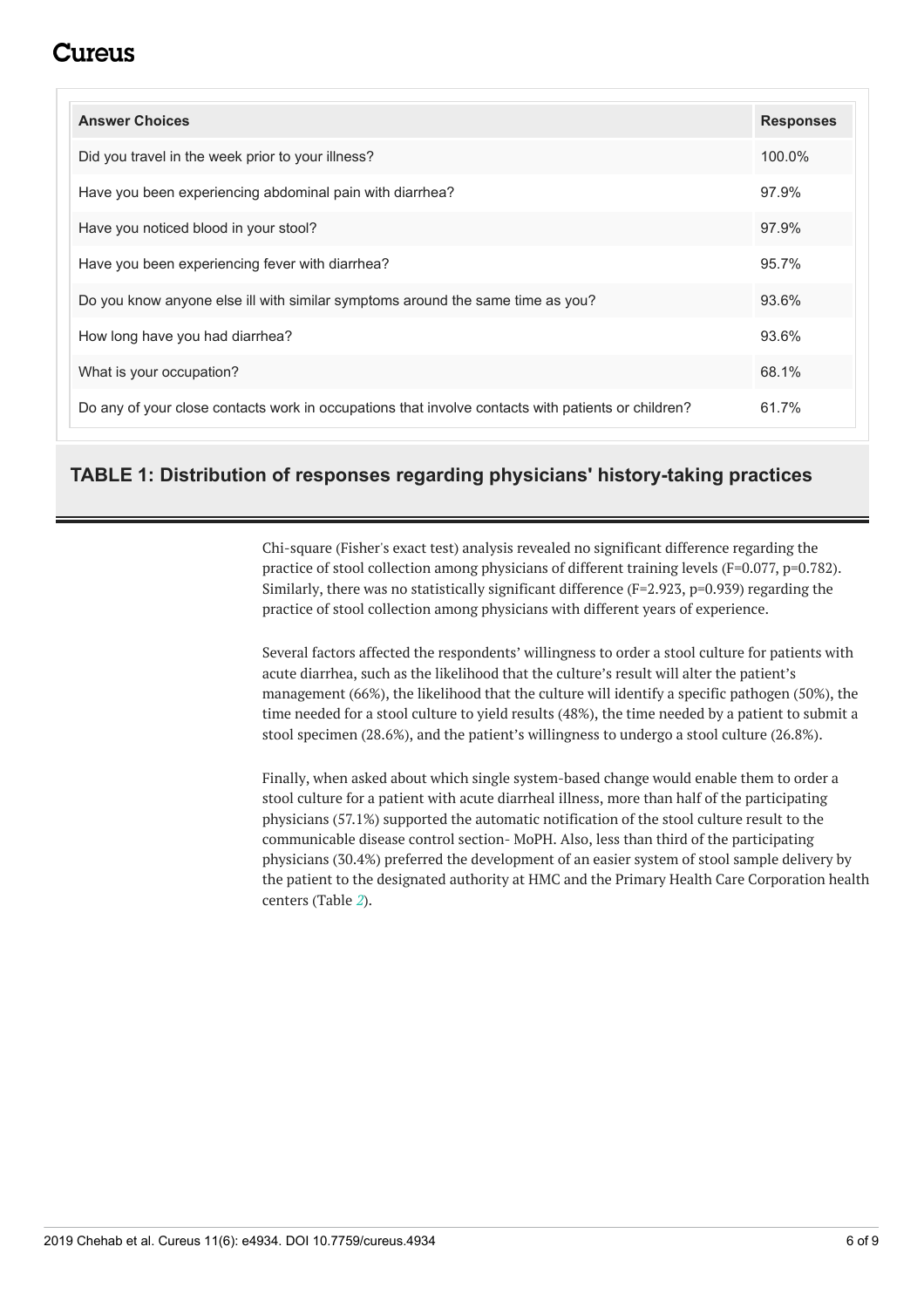### 711 reus

<span id="page-5-0"></span>

| <b>Answer Choices</b>                                                                              | <b>Responses</b> |
|----------------------------------------------------------------------------------------------------|------------------|
| Did you travel in the week prior to your illness?                                                  | $100.0\%$        |
| Have you been experiencing abdominal pain with diarrhea?                                           | 97.9%            |
| Have you noticed blood in your stool?                                                              | 97.9%            |
| Have you been experiencing fever with diarrhea?                                                    | 95.7%            |
| Do you know anyone else ill with similar symptoms around the same time as you?                     | 93.6%            |
| How long have you had diarrhea?                                                                    | 93.6%            |
| What is your occupation?                                                                           | 68.1%            |
| Do any of your close contacts work in occupations that involve contacts with patients or children? | 61.7%            |

#### **TABLE 1: Distribution of responses regarding physicians' history-taking practices**

Chi-square (Fisher's exact test) analysis revealed no significant difference regarding the practice of stool collection among physicians of different training levels (F=0.077, p=0.782). Similarly, there was no statistically significant difference  $(F=2.923, p=0.939)$  regarding the practice of stool collection among physicians with different years of experience.

Several factors affected the respondents' willingness to order a stool culture for patients with acute diarrhea, such as the likelihood that the culture's result will alter the patient's management (66%), the likelihood that the culture will identify a specific pathogen (50%), the time needed for a stool culture to yield results (48%), the time needed by a patient to submit a stool specimen (28.6%), and the patient's willingness to undergo a stool culture (26.8%).

Finally, when asked about which single system-based change would enable them to order a stool culture for a patient with acute diarrheal illness, more than half of the participating physicians (57.1%) supported the automatic notification of the stool culture result to the communicable disease control section- MoPH. Also, less than third of the participating physicians (30.4%) preferred the development of an easier system of stool sample delivery by the patient to the designated authority at HMC and the Primary Health Care Corporation health centers (Table *[2](#page-6-0)*).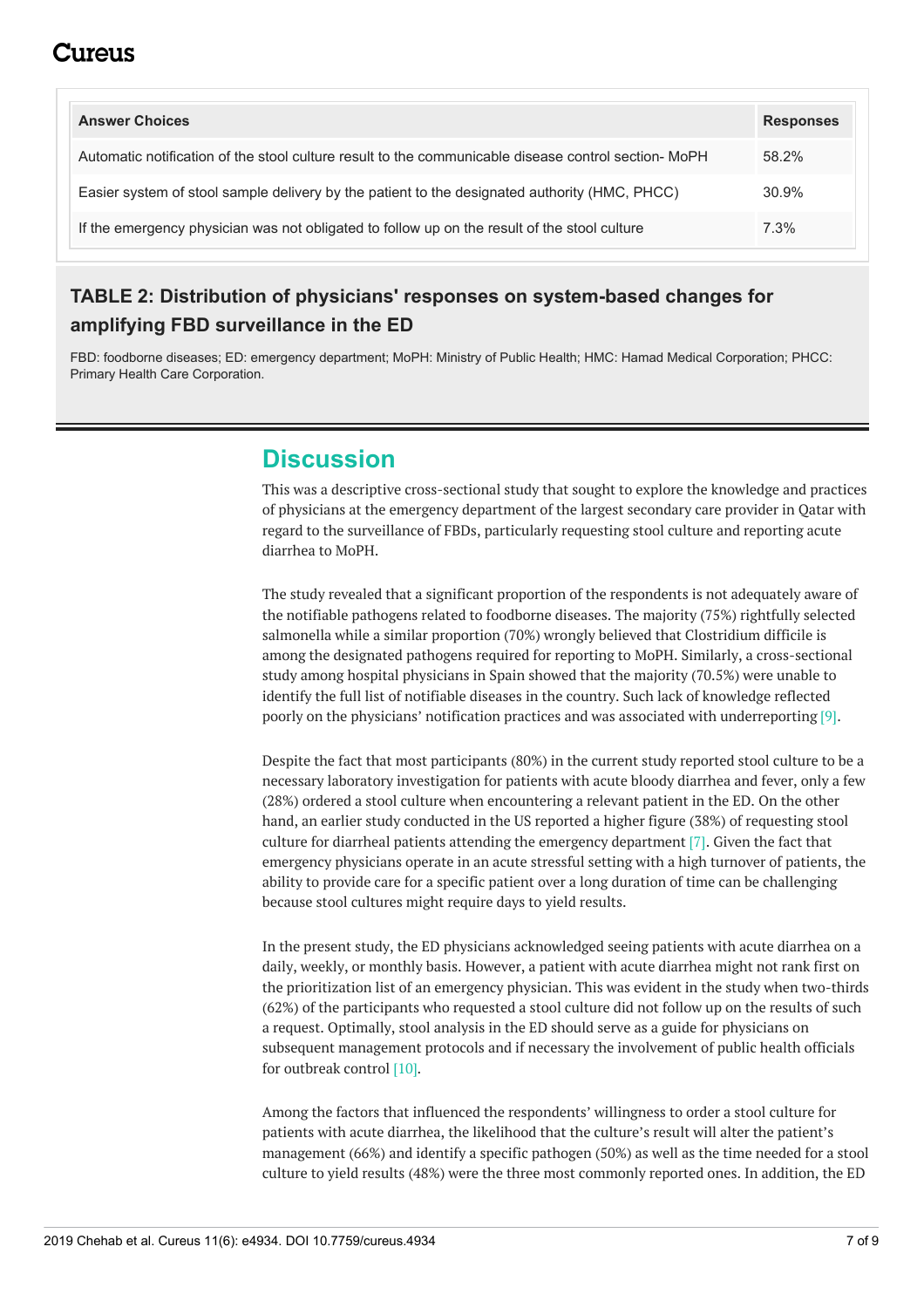### :117e11S

<span id="page-6-0"></span>

| <b>Answer Choices</b>                                                                                | <b>Responses</b> |
|------------------------------------------------------------------------------------------------------|------------------|
| Automatic notification of the stool culture result to the communicable disease control section- MoPH | 58.2%            |
| Easier system of stool sample delivery by the patient to the designated authority (HMC, PHCC)        | 30.9%            |
| If the emergency physician was not obligated to follow up on the result of the stool culture         | $7.3\%$          |

#### **TABLE 2: Distribution of physicians' responses on system-based changes for amplifying FBD surveillance in the ED**

FBD: foodborne diseases; ED: emergency department; MoPH: Ministry of Public Health; HMC: Hamad Medical Corporation; PHCC: Primary Health Care Corporation.

### **Discussion**

This was a descriptive cross-sectional study that sought to explore the knowledge and practices of physicians at the emergency department of the largest secondary care provider in Qatar with regard to the surveillance of FBDs, particularly requesting stool culture and reporting acute diarrhea to MoPH.

The study revealed that a significant proportion of the respondents is not adequately aware of the notifiable pathogens related to foodborne diseases. The majority (75%) rightfully selected salmonella while a similar proportion (70%) wrongly believed that Clostridium difficile is among the designated pathogens required for reporting to MoPH. Similarly, a cross-sectional study among hospital physicians in Spain showed that the majority (70.5%) were unable to identify the full list of notifiable diseases in the country. Such lack of knowledge reflected poorly on the physicians' notification practices and was associated with underreporting [9].

Despite the fact that most participants (80%) in the current study reported stool culture to be a necessary laboratory investigation for patients with acute bloody diarrhea and fever, only a few (28%) ordered a stool culture when encountering a relevant patient in the ED. On the other hand, an earlier study conducted in the US reported a higher figure (38%) of requesting stool culture for diarrheal patients attending the emergency department [7]. Given the fact that emergency physicians operate in an acute stressful setting with a high turnover of patients, the ability to provide care for a specific patient over a long duration of time can be challenging because stool cultures might require days to yield results.

In the present study, the ED physicians acknowledged seeing patients with acute diarrhea on a daily, weekly, or monthly basis. However, a patient with acute diarrhea might not rank first on the prioritization list of an emergency physician. This was evident in the study when two-thirds (62%) of the participants who requested a stool culture did not follow up on the results of such a request. Optimally, stool analysis in the ED should serve as a guide for physicians on subsequent management protocols and if necessary the involvement of public health officials for outbreak control [10].

Among the factors that influenced the respondents' willingness to order a stool culture for patients with acute diarrhea, the likelihood that the culture's result will alter the patient's management (66%) and identify a specific pathogen (50%) as well as the time needed for a stool culture to yield results (48%) were the three most commonly reported ones. In addition, the ED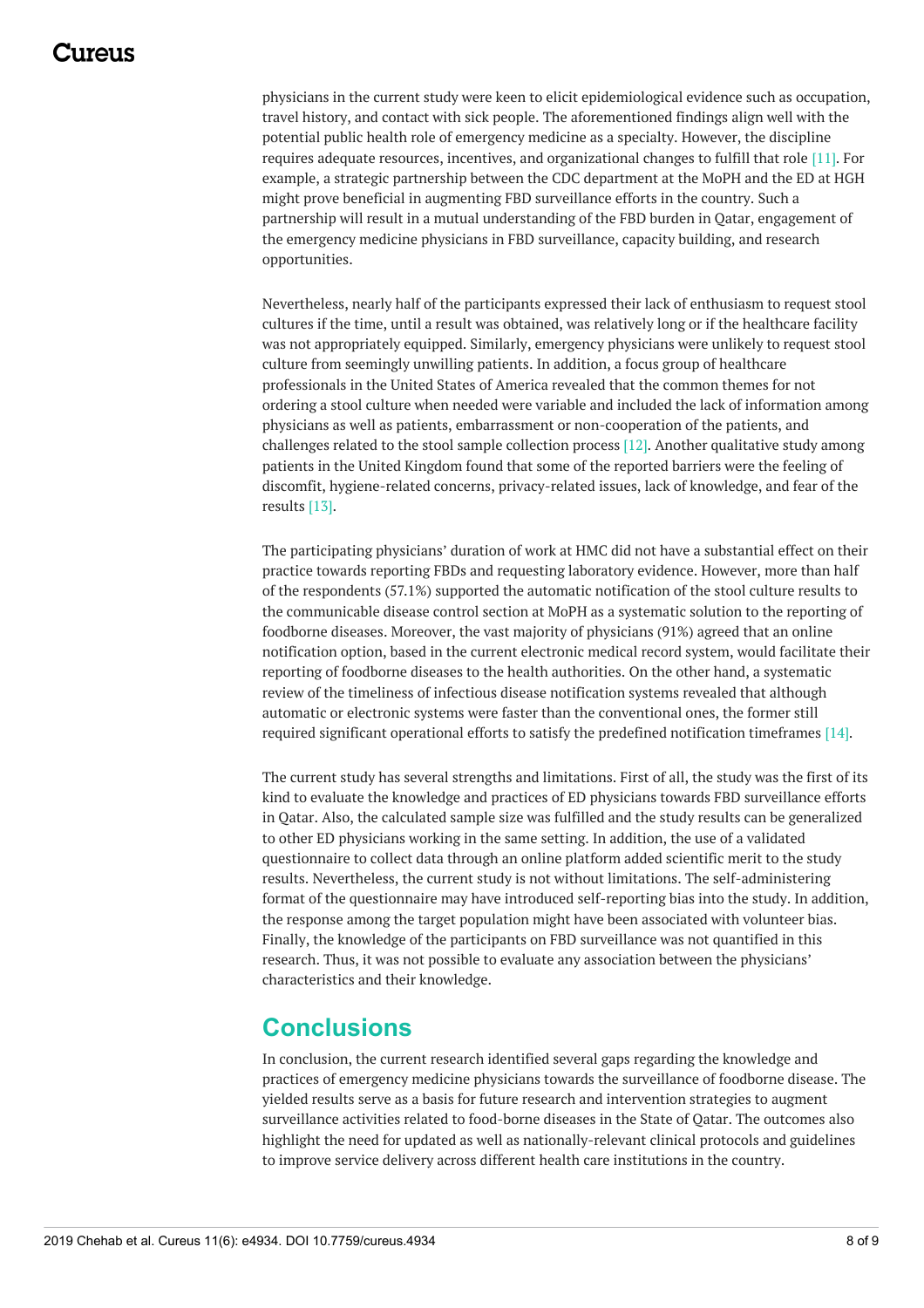### 117A119

physicians in the current study were keen to elicit epidemiological evidence such as occupation, travel history, and contact with sick people. The aforementioned findings align well with the potential public health role of emergency medicine as a specialty. However, the discipline requires adequate resources, incentives, and organizational changes to fulfill that role [11]. For example, a strategic partnership between the CDC department at the MoPH and the ED at HGH might prove beneficial in augmenting FBD surveillance efforts in the country. Such a partnership will result in a mutual understanding of the FBD burden in Qatar, engagement of the emergency medicine physicians in FBD surveillance, capacity building, and research opportunities.

Nevertheless, nearly half of the participants expressed their lack of enthusiasm to request stool cultures if the time, until a result was obtained, was relatively long or if the healthcare facility was not appropriately equipped. Similarly, emergency physicians were unlikely to request stool culture from seemingly unwilling patients. In addition, a focus group of healthcare professionals in the United States of America revealed that the common themes for not ordering a stool culture when needed were variable and included the lack of information among physicians as well as patients, embarrassment or non-cooperation of the patients, and challenges related to the stool sample collection process [12]. Another qualitative study among patients in the United Kingdom found that some of the reported barriers were the feeling of discomfit, hygiene-related concerns, privacy-related issues, lack of knowledge, and fear of the results [13].

The participating physicians' duration of work at HMC did not have a substantial effect on their practice towards reporting FBDs and requesting laboratory evidence. However, more than half of the respondents (57.1%) supported the automatic notification of the stool culture results to the communicable disease control section at MoPH as a systematic solution to the reporting of foodborne diseases. Moreover, the vast majority of physicians (91%) agreed that an online notification option, based in the current electronic medical record system, would facilitate their reporting of foodborne diseases to the health authorities. On the other hand, a systematic review of the timeliness of infectious disease notification systems revealed that although automatic or electronic systems were faster than the conventional ones, the former still required significant operational efforts to satisfy the predefined notification timeframes [14].

The current study has several strengths and limitations. First of all, the study was the first of its kind to evaluate the knowledge and practices of ED physicians towards FBD surveillance efforts in Qatar. Also, the calculated sample size was fulfilled and the study results can be generalized to other ED physicians working in the same setting. In addition, the use of a validated questionnaire to collect data through an online platform added scientific merit to the study results. Nevertheless, the current study is not without limitations. The self-administering format of the questionnaire may have introduced self-reporting bias into the study. In addition, the response among the target population might have been associated with volunteer bias. Finally, the knowledge of the participants on FBD surveillance was not quantified in this research. Thus, it was not possible to evaluate any association between the physicians' characteristics and their knowledge.

### **Conclusions**

In conclusion, the current research identified several gaps regarding the knowledge and practices of emergency medicine physicians towards the surveillance of foodborne disease. The yielded results serve as a basis for future research and intervention strategies to augment surveillance activities related to food-borne diseases in the State of Qatar. The outcomes also highlight the need for updated as well as nationally-relevant clinical protocols and guidelines to improve service delivery across different health care institutions in the country.